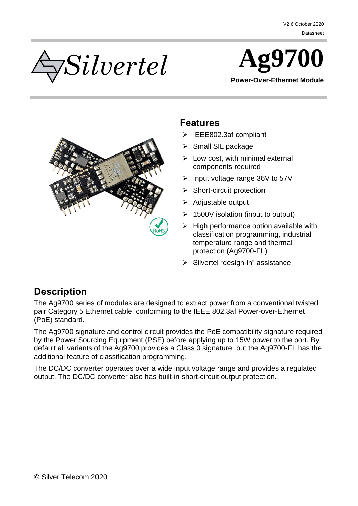



**Power-Over-Ethernet Module**



#### <span id="page-0-0"></span>**Features**

- IEEE802.3af compliant
- $\triangleright$  Small SIL package
- $\triangleright$  Low cost, with minimal external components required
- $\triangleright$  Input voltage range 36V to 57V
- $\triangleright$  Short-circuit protection
- $\triangleright$  Adiustable output
- $\geq 1500V$  isolation (input to output)
- $\triangleright$  High performance option available with classification programming, industrial temperature range and thermal protection (Ag9700-FL)
- $\triangleright$  Silvertel "design-in" assistance

### <span id="page-0-1"></span>**Description**

The Ag9700 series of modules are designed to extract power from a conventional twisted pair Category 5 Ethernet cable, conforming to the IEEE 802.3af Power-over-Ethernet (PoE) standard.

The Ag9700 signature and control circuit provides the PoE compatibility signature required by the Power Sourcing Equipment (PSE) before applying up to 15W power to the port. By default all variants of the Ag9700 provides a Class 0 signature; but the Ag9700-FL has the additional feature of classification programming.

The DC/DC converter operates over a wide input voltage range and provides a regulated output. The DC/DC converter also has built-in short-circuit output protection.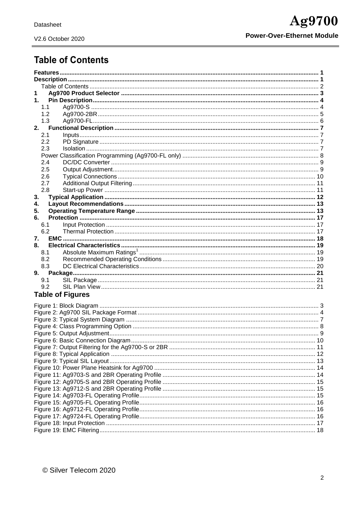# <span id="page-1-0"></span>**Table of Contents**

| 1   |                         |  |  |  |  |  |
|-----|-------------------------|--|--|--|--|--|
| 1.  |                         |  |  |  |  |  |
| 1.1 |                         |  |  |  |  |  |
| 1.2 |                         |  |  |  |  |  |
| 1.3 |                         |  |  |  |  |  |
| 2.  |                         |  |  |  |  |  |
| 2.1 |                         |  |  |  |  |  |
| 2.2 |                         |  |  |  |  |  |
| 2.3 |                         |  |  |  |  |  |
|     |                         |  |  |  |  |  |
| 2.4 |                         |  |  |  |  |  |
| 2.5 |                         |  |  |  |  |  |
| 2.6 |                         |  |  |  |  |  |
| 2.7 |                         |  |  |  |  |  |
| 2.8 |                         |  |  |  |  |  |
| 3.  |                         |  |  |  |  |  |
| 4.  |                         |  |  |  |  |  |
| 5.  |                         |  |  |  |  |  |
| 6.  |                         |  |  |  |  |  |
| 6.1 |                         |  |  |  |  |  |
| 6.2 |                         |  |  |  |  |  |
| 7.  |                         |  |  |  |  |  |
| 8.  |                         |  |  |  |  |  |
| 8.1 |                         |  |  |  |  |  |
| 8.2 |                         |  |  |  |  |  |
| 8.3 |                         |  |  |  |  |  |
|     |                         |  |  |  |  |  |
| 9.  |                         |  |  |  |  |  |
| 9.1 |                         |  |  |  |  |  |
| 9.2 |                         |  |  |  |  |  |
|     | <b>Table of Figures</b> |  |  |  |  |  |
|     |                         |  |  |  |  |  |
|     |                         |  |  |  |  |  |
|     |                         |  |  |  |  |  |
|     |                         |  |  |  |  |  |
|     |                         |  |  |  |  |  |
|     |                         |  |  |  |  |  |
|     |                         |  |  |  |  |  |
|     |                         |  |  |  |  |  |
|     |                         |  |  |  |  |  |
|     |                         |  |  |  |  |  |
|     |                         |  |  |  |  |  |
|     |                         |  |  |  |  |  |
|     |                         |  |  |  |  |  |
|     |                         |  |  |  |  |  |
|     |                         |  |  |  |  |  |
|     |                         |  |  |  |  |  |
|     |                         |  |  |  |  |  |
|     |                         |  |  |  |  |  |
|     |                         |  |  |  |  |  |
|     |                         |  |  |  |  |  |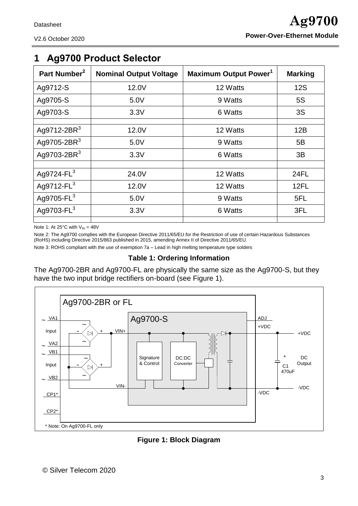<span id="page-2-0"></span>

| Part Number <sup>2</sup> | <b>Nominal Output Voltage</b> | <b>Maximum Output Power</b> <sup>1</sup> | <b>Marking</b> |
|--------------------------|-------------------------------|------------------------------------------|----------------|
| Ag9712-S                 | 12.0V                         | 12 Watts                                 | <b>12S</b>     |
| Ag9705-S                 | 5.0V                          | 9 Watts                                  | <b>5S</b>      |
| Ag9703-S                 | 3.3V                          | 6 Watts                                  | 3S             |
|                          |                               |                                          |                |
| Ag9712-2BR $3$           | 12.0V                         | 12 Watts                                 | 12B            |
| Ag9705-2BR $3$           | 5.0V                          | 9 Watts                                  | 5B             |
| Ag9703-2BR $3$           | 3.3V                          | 6 Watts                                  | 3B             |
|                          |                               |                                          |                |
| Ag9724-FL <sup>3</sup>   | 24.0V                         | 12 Watts                                 | <b>24FL</b>    |
| Ag9712-FL <sup>3</sup>   | 12.0V                         | 12 Watts                                 | 12FL           |
| Ag9705-FL <sup>3</sup>   | 5.0V                          | 9 Watts                                  | 5FL            |
| Ag9703-FL <sup>3</sup>   | 3.3V                          | 6 Watts                                  | 3FL            |
|                          |                               |                                          |                |

Note 1: At 25°C with  $V_{IN} = 48V$ 

Note 2: The Ag9700 complies with the European Directive 2011/65/EU for the Restriction of use of certain Hazardous Substances (RoHS) including Directive 2015/863 published in 2015, amending Annex II of Directive 2011/65/EU.

Note 3: ROHS compliant with the use of exemption 7a – Lead in high melting temperature type solders

#### **Table 1: Ordering Information**

The Ag9700-2BR and Ag9700-FL are physically the same size as the Ag9700-S, but they have the two input bridge rectifiers on-board (see [Figure 1\)](#page-2-1).



<span id="page-2-1"></span>**Figure 1: Block Diagram**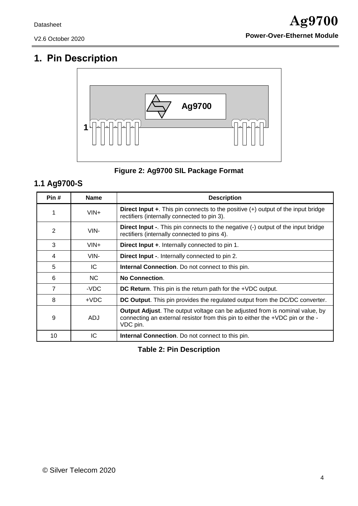# <span id="page-3-0"></span>**1. Pin Description**



#### **Figure 2: Ag9700 SIL Package Format**

## <span id="page-3-2"></span><span id="page-3-1"></span>**1.1 Ag9700-S**

| Pin#           | <b>Name</b> | <b>Description</b>                                                                                                                                                              |
|----------------|-------------|---------------------------------------------------------------------------------------------------------------------------------------------------------------------------------|
| 1              | $VIN +$     | Direct Input +. This pin connects to the positive (+) output of the input bridge<br>rectifiers (internally connected to pin 3).                                                 |
| 2              | VIN-        | <b>Direct Input -.</b> This pin connects to the negative (-) output of the input bridge<br>rectifiers (internally connected to pins 4).                                         |
| 3              | $VIN +$     | Direct Input +. Internally connected to pin 1.                                                                                                                                  |
| 4              | VIN-        | <b>Direct Input -.</b> Internally connected to pin 2.                                                                                                                           |
| 5              | IC          | <b>Internal Connection.</b> Do not connect to this pin.                                                                                                                         |
| 6              | NC.         | <b>No Connection.</b>                                                                                                                                                           |
| $\overline{7}$ | -VDC        | DC Return. This pin is the return path for the +VDC output.                                                                                                                     |
| 8              | $+VDC$      | DC Output. This pin provides the regulated output from the DC/DC converter.                                                                                                     |
| 9              | ADJ         | <b>Output Adjust.</b> The output voltage can be adjusted from is nominal value, by<br>connecting an external resistor from this pin to either the +VDC pin or the -<br>VDC pin. |
| 10             | IС          | <b>Internal Connection.</b> Do not connect to this pin.                                                                                                                         |

**Table 2: Pin Description**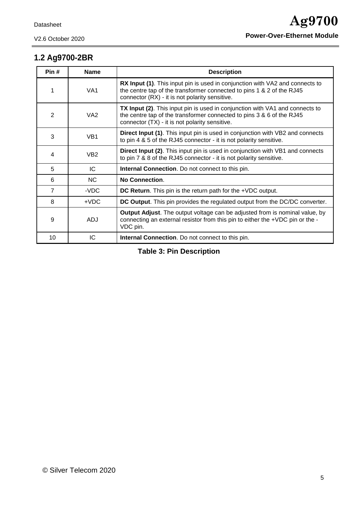## <span id="page-4-0"></span>**1.2 Ag9700-2BR**

| Pin#           | <b>Name</b>     | <b>Description</b>                                                                                                                                                                                      |
|----------------|-----------------|---------------------------------------------------------------------------------------------------------------------------------------------------------------------------------------------------------|
|                | VA <sub>1</sub> | RX Input (1). This input pin is used in conjunction with VA2 and connects to<br>the centre tap of the transformer connected to pins 1 & 2 of the RJ45<br>connector (RX) - it is not polarity sensitive. |
| 2              | VA <sub>2</sub> | TX Input (2). This input pin is used in conjunction with VA1 and connects to<br>the centre tap of the transformer connected to pins 3 & 6 of the RJ45<br>connector (TX) - it is not polarity sensitive. |
| 3              | VB <sub>1</sub> | <b>Direct Input (1).</b> This input pin is used in conjunction with VB2 and connects<br>to pin 4 & 5 of the RJ45 connector - it is not polarity sensitive.                                              |
| 4              | VB <sub>2</sub> | <b>Direct Input (2).</b> This input pin is used in conjunction with VB1 and connects<br>to pin 7 & 8 of the RJ45 connector - it is not polarity sensitive.                                              |
| 5              | IC              | Internal Connection. Do not connect to this pin.                                                                                                                                                        |
| 6              | <b>NC</b>       | <b>No Connection.</b>                                                                                                                                                                                   |
| $\overline{7}$ | -VDC            | DC Return. This pin is the return path for the +VDC output.                                                                                                                                             |
| 8              | $+VDC$          | DC Output. This pin provides the regulated output from the DC/DC converter.                                                                                                                             |
| 9              | <b>ADJ</b>      | <b>Output Adjust</b> . The output voltage can be adjusted from is nominal value, by<br>connecting an external resistor from this pin to either the +VDC pin or the -<br>VDC pin.                        |
| 10             | IC              | <b>Internal Connection.</b> Do not connect to this pin.                                                                                                                                                 |

**Table 3: Pin Description**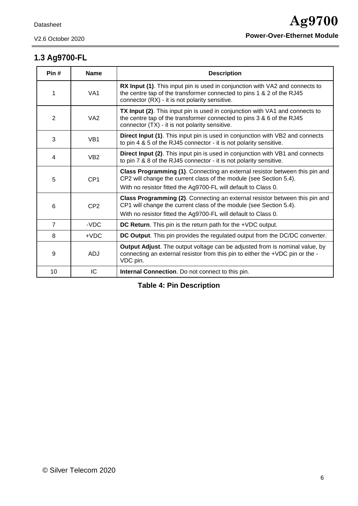## <span id="page-5-0"></span>**1.3 Ag9700-FL**

| Pin#           | <b>Name</b>     | <b>Description</b>                                                                                                                                                                                                  |
|----------------|-----------------|---------------------------------------------------------------------------------------------------------------------------------------------------------------------------------------------------------------------|
| 1              | VA <sub>1</sub> | <b>RX Input (1).</b> This input pin is used in conjunction with VA2 and connects to<br>the centre tap of the transformer connected to pins 1 & 2 of the RJ45<br>connector (RX) - it is not polarity sensitive.      |
| 2              | VA <sub>2</sub> | TX Input (2). This input pin is used in conjunction with VA1 and connects to<br>the centre tap of the transformer connected to pins 3 & 6 of the RJ45<br>connector (TX) - it is not polarity sensitive.             |
| 3              | VB <sub>1</sub> | <b>Direct Input (1).</b> This input pin is used in conjunction with VB2 and connects<br>to pin 4 & 5 of the RJ45 connector - it is not polarity sensitive.                                                          |
| 4              | VB <sub>2</sub> | <b>Direct Input (2).</b> This input pin is used in conjunction with VB1 and connects<br>to pin 7 & 8 of the RJ45 connector - it is not polarity sensitive.                                                          |
| 5              | CP <sub>1</sub> | Class Programming (1). Connecting an external resistor between this pin and<br>CP2 will change the current class of the module (see Section 5.4).<br>With no resistor fitted the Ag9700-FL will default to Class 0. |
| 6              | CP <sub>2</sub> | Class Programming (2). Connecting an external resistor between this pin and<br>CP1 will change the current class of the module (see Section 5.4).<br>With no resistor fitted the Ag9700-FL will default to Class 0. |
| $\overline{7}$ | -VDC            | DC Return. This pin is the return path for the +VDC output.                                                                                                                                                         |
| 8              | $+VDC$          | DC Output. This pin provides the regulated output from the DC/DC converter.                                                                                                                                         |
| 9              | <b>ADJ</b>      | Output Adjust. The output voltage can be adjusted from is nominal value, by<br>connecting an external resistor from this pin to either the +VDC pin or the -<br>VDC pin.                                            |
| 10             | IC              | <b>Internal Connection.</b> Do not connect to this pin.                                                                                                                                                             |

**Table 4: Pin Description**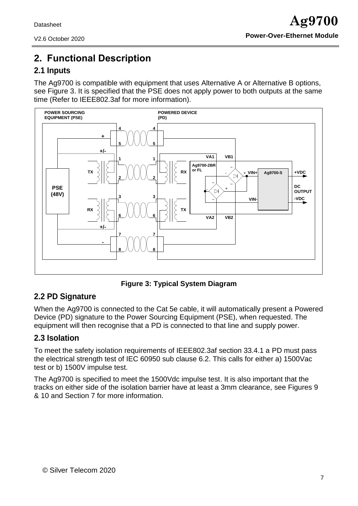# <span id="page-6-0"></span>**2. Functional Description**

#### <span id="page-6-1"></span>**2.1 Inputs**

The Ag9700 is compatible with equipment that uses Alternative A or Alternative B options, see Figure 3. It is specified that the PSE does not apply power to both outputs at the same time (Refer to IEEE802.3af for more information).



**Figure 3: Typical System Diagram**

#### <span id="page-6-4"></span><span id="page-6-2"></span>**2.2 PD Signature**

When the Ag9700 is connected to the Cat 5e cable, it will automatically present a Powered Device (PD) signature to the Power Sourcing Equipment (PSE), when requested. The equipment will then recognise that a PD is connected to that line and supply power.

#### <span id="page-6-3"></span>**2.3 Isolation**

To meet the safety isolation requirements of IEEE802.3af section 33.4.1 a PD must pass the electrical strength test of IEC 60950 sub clause 6.2. This calls for either a) 1500Vac test or b) 1500V impulse test.

The Ag9700 is specified to meet the 1500Vdc impulse test. It is also important that the tracks on either side of the isolation barrier have at least a 3mm clearance, see Figures 9 & 10 and Section 7 for more information.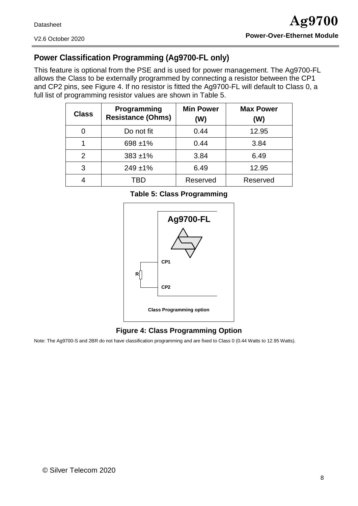V2.6 October 2020

### <span id="page-7-0"></span>**Power Classification Programming (Ag9700-FL only)**

This feature is optional from the PSE and is used for power management. The Ag9700-FL allows the Class to be externally programmed by connecting a resistor between the CP1 and CP2 pins, see Figure 4. If no resistor is fitted the Ag9700-FL will default to Class 0, a full list of programming resistor values are shown in Table 5.

| <b>Class</b> | Programming<br><b>Resistance (Ohms)</b> | <b>Min Power</b><br>(W) | <b>Max Power</b><br>(W) |
|--------------|-----------------------------------------|-------------------------|-------------------------|
|              | Do not fit                              | 0.44                    | 12.95                   |
|              | 698 ±1%                                 | 0.44                    | 3.84                    |
| 2            | $383 + 1\%$                             | 3.84                    | 6.49                    |
| 3            | $249 + 1\%$                             | 6.49                    | 12.95                   |
|              | 'RD                                     | Reserved                | Reserved                |

**Table 5: Class Programming**



#### **Figure 4: Class Programming Option**

<span id="page-7-1"></span>Note: The Ag9700-S and 2BR do not have classification programming and are fixed to Class 0 (0.44 Watts to 12.95 Watts).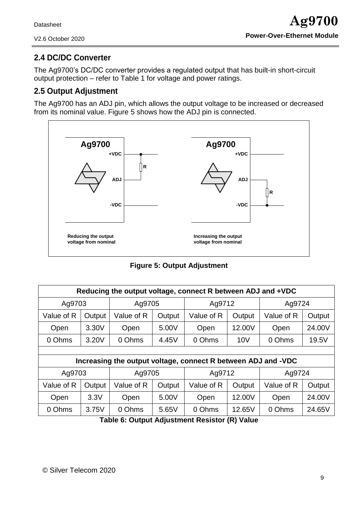### <span id="page-8-0"></span>**2.4 DC/DC Converter**

The Ag9700's DC/DC converter provides a regulated output that has built-in short-circuit output protection – refer to Table 1 for voltage and power ratings.

#### <span id="page-8-1"></span>**2.5 Output Adjustment**

The Ag9700 has an ADJ pin, which allows the output voltage to be increased or decreased from its nominal value. Figure 5 shows how the ADJ pin is connected.



**Figure 5: Output Adjustment**

<span id="page-8-2"></span>

| Reducing the output voltage, connect R between ADJ and +VDC |        |            |        |                                                               |        |            |        |  |
|-------------------------------------------------------------|--------|------------|--------|---------------------------------------------------------------|--------|------------|--------|--|
| Ag9703                                                      |        | Ag9705     |        | Ag9712                                                        |        | Ag9724     |        |  |
| Value of R                                                  | Output | Value of R | Output | Value of R                                                    | Output | Value of R | Output |  |
| Open                                                        | 3.30V  | Open       | 5.00V  | Open                                                          | 12.00V | Open       | 24.00V |  |
| 0 Ohms                                                      | 3.20V  | 0 Ohms     | 4.45V  | 0 Ohms                                                        | 10V    |            | 19.5V  |  |
|                                                             |        |            |        |                                                               |        |            |        |  |
|                                                             |        |            |        | Increasing the output voltage, connect R between ADJ and -VDC |        |            |        |  |
| Ag9703                                                      |        | Ag9705     |        | Ag9712                                                        |        | Ag9724     |        |  |
| Value of R                                                  | Output | Value of R | Output | Value of R                                                    | Output | Value of R | Output |  |
| Open                                                        | 3.3V   | Open       | 5.00V  | Open                                                          | 12.00V | Open       | 24.00V |  |
| 0 Ohms                                                      | 3.75V  | 0 Ohms     | 5.65V  | 0 Ohms                                                        | 12.65V | 0 Ohms     | 24.65V |  |
| $T = \begin{bmatrix} 0 & 0 \\ 0 & 1 \end{bmatrix}$          |        |            |        |                                                               |        |            |        |  |

**Table 6: Output Adjustment Resistor (R) Value**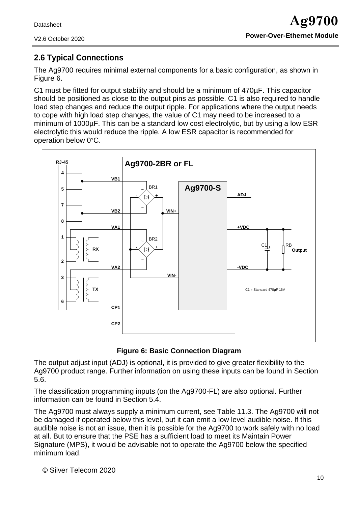### <span id="page-9-0"></span>**2.6 Typical Connections**

The Ag9700 requires minimal external components for a basic configuration, as shown in Figure 6.

C1 must be fitted for output stability and should be a minimum of 470µF. This capacitor should be positioned as close to the output pins as possible. C1 is also required to handle load step changes and reduce the output ripple. For applications where the output needs to cope with high load step changes, the value of C1 may need to be increased to a minimum of 1000µF. This can be a standard low cost electrolytic, but by using a low ESR electrolytic this would reduce the ripple. A low ESR capacitor is recommended for operation below 0°C.





<span id="page-9-1"></span>The output adjust input (ADJ) is optional, it is provided to give greater flexibility to the Ag9700 product range. Further information on using these inputs can be found in Section 5.6.

The classification programming inputs (on the Ag9700-FL) are also optional. Further information can be found in Section 5.4.

The Ag9700 must always supply a minimum current, see Table 11.3. The Ag9700 will not be damaged if operated below this level, but it can emit a low level audible noise. If this audible noise is not an issue, then it is possible for the Ag9700 to work safely with no load at all. But to ensure that the PSE has a sufficient load to meet its Maintain Power Signature (MPS), it would be advisable not to operate the Ag9700 below the specified minimum load.

© Silver Telecom 2020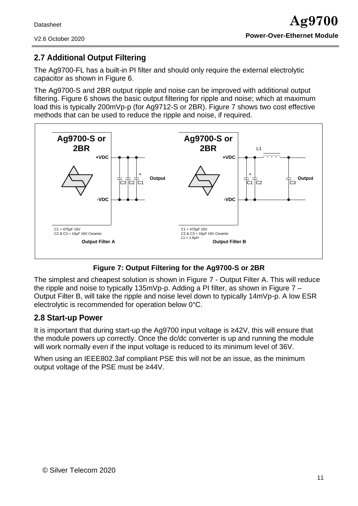#### V2.6 October 2020

#### <span id="page-10-0"></span>**2.7 Additional Output Filtering**

The Ag9700-FL has a built-in PI filter and should only require the external electrolytic capacitor as shown in Figure 6.

The Ag9700-S and 2BR output ripple and noise can be improved with additional output filtering. Figure 6 shows the basic output filtering for ripple and noise; which at maximum load this is typically 200mVp-p (for Ag9712-S or 2BR). Figure 7 shows two cost effective methods that can be used to reduce the ripple and noise, if required.



#### **Figure 7: Output Filtering for the Ag9700-S or 2BR**

<span id="page-10-2"></span>The simplest and cheapest solution is shown in Figure 7 - Output Filter A. This will reduce the ripple and noise to typically 135mVp-p. Adding a PI filter, as shown in Figure 7 – Output Filter B, will take the ripple and noise level down to typically 14mVp-p. A low ESR electrolytic is recommended for operation below 0°C.

#### <span id="page-10-1"></span>**2.8 Start-up Power**

It is important that during start-up the Ag9700 input voltage is ≥42V, this will ensure that the module powers up correctly. Once the dc/dc converter is up and running the module will work normally even if the input voltage is reduced to its minimum level of 36V.

When using an IEEE802.3af compliant PSE this will not be an issue, as the minimum output voltage of the PSE must be ≥44V.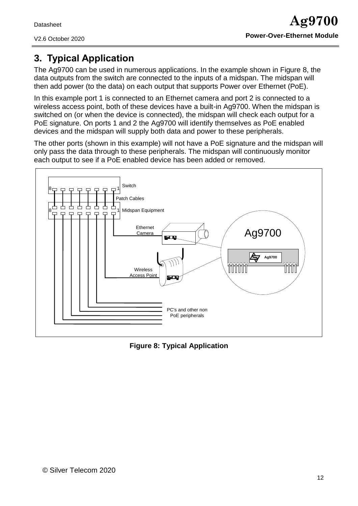V2.6 October 2020

# <span id="page-11-0"></span>**3. Typical Application**

The Ag9700 can be used in numerous applications. In the example shown in Figure 8, the data outputs from the switch are connected to the inputs of a midspan. The midspan will then add power (to the data) on each output that supports Power over Ethernet (PoE).

In this example port 1 is connected to an Ethernet camera and port 2 is connected to a wireless access point, both of these devices have a built-in Ag9700. When the midspan is switched on (or when the device is connected), the midspan will check each output for a PoE signature. On ports 1 and 2 the Ag9700 will identify themselves as PoE enabled devices and the midspan will supply both data and power to these peripherals.

The other ports (shown in this example) will not have a PoE signature and the midspan will only pass the data through to these peripherals. The midspan will continuously monitor each output to see if a PoE enabled device has been added or removed.



<span id="page-11-1"></span>**Figure 8: Typical Application**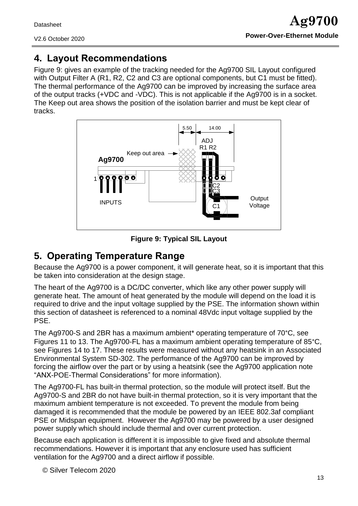# <span id="page-12-0"></span>**4. Layout Recommendations**

Figure 9: gives an example of the tracking needed for the Ag9700 SIL Layout configured with Output Filter A (R1, R2, C2 and C3 are optional components, but C1 must be fitted). The thermal performance of the Ag9700 can be improved by increasing the surface area of the output tracks (+VDC and -VDC). This is not applicable if the Ag9700 is in a socket. The Keep out area shows the position of the isolation barrier and must be kept clear of tracks.



**Figure 9: Typical SIL Layout**

# <span id="page-12-2"></span><span id="page-12-1"></span>**5. Operating Temperature Range**

Because the Ag9700 is a power component, it will generate heat, so it is important that this be taken into consideration at the design stage.

The heart of the Ag9700 is a DC/DC converter, which like any other power supply will generate heat. The amount of heat generated by the module will depend on the load it is required to drive and the input voltage supplied by the PSE. The information shown within this section of datasheet is referenced to a nominal 48Vdc input voltage supplied by the **PSF** 

The Ag9700-S and 2BR has a maximum ambient\* operating temperature of 70°C, see Figures 11 to 13. The Ag9700-FL has a maximum ambient operating temperature of 85°C, see Figures 14 to 17. These results were measured without any heatsink in an Associated Environmental System SD-302. The performance of the Ag9700 can be improved by forcing the airflow over the part or by using a heatsink (see the Ag9700 application note "ANX-POE-Thermal Considerations" for more information).

The Ag9700-FL has built-in thermal protection, so the module will protect itself. But the Ag9700-S and 2BR do not have built-in thermal protection, so it is very important that the maximum ambient temperature is not exceeded. To prevent the module from being damaged it is recommended that the module be powered by an IEEE 802.3af compliant PSE or Midspan equipment. However the Ag9700 may be powered by a user designed power supply which should include thermal and over current protection.

Because each application is different it is impossible to give fixed and absolute thermal recommendations. However it is important that any enclosure used has sufficient ventilation for the Ag9700 and a direct airflow if possible.

© Silver Telecom 2020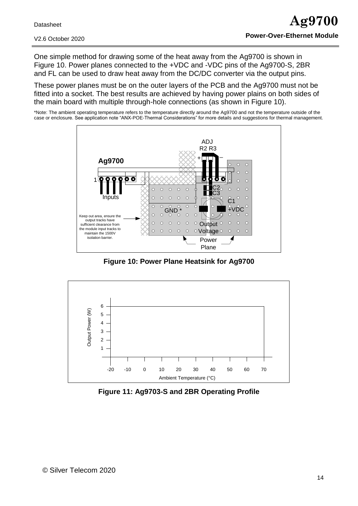One simple method for drawing some of the heat away from the Ag9700 is shown in Figure 10. Power planes connected to the +VDC and -VDC pins of the Ag9700-S, 2BR and FL can be used to draw heat away from the DC/DC converter via the output pins.

These power planes must be on the outer layers of the PCB and the Ag9700 must not be fitted into a socket. The best results are achieved by having power plains on both sides of the main board with multiple through-hole connections (as shown in Figure 10).

\*Note: The ambient operating temperature refers to the temperature directly around the Ag9700 and not the temperature outside of the case or enclosure. See application note "ANX-POE-Thermal Considerations" for more details and suggestions for thermal management.



**Figure 10: Power Plane Heatsink for Ag9700**

<span id="page-13-0"></span>

<span id="page-13-1"></span>**Figure 11: Ag9703-S and 2BR Operating Profile**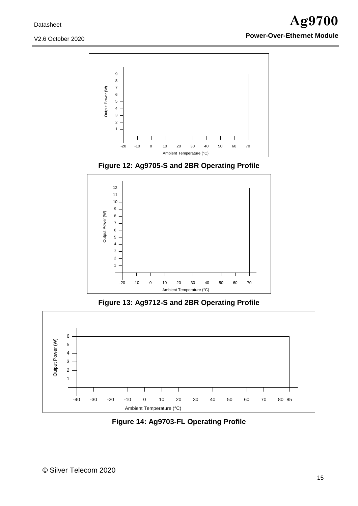



<span id="page-14-0"></span>

**Figure 13: Ag9712-S and 2BR Operating Profile**

<span id="page-14-1"></span>

<span id="page-14-2"></span>**Figure 14: Ag9703-FL Operating Profile**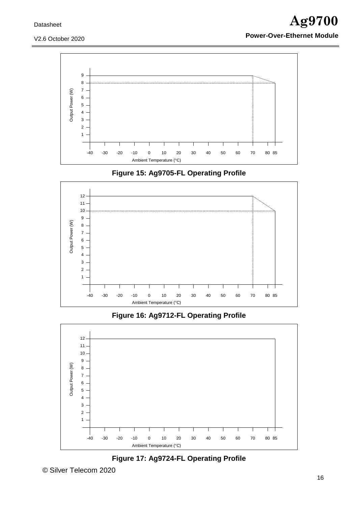

<span id="page-15-0"></span>

**Figure 15: Ag9705-FL Operating Profile**



<span id="page-15-1"></span>

<span id="page-15-2"></span>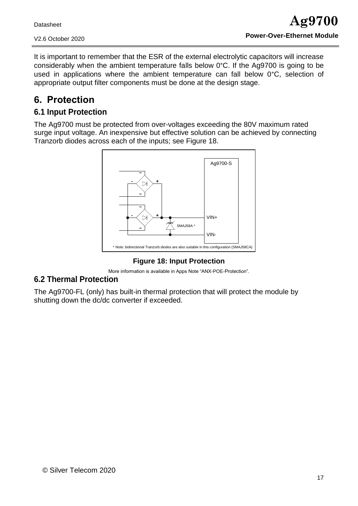It is important to remember that the ESR of the external electrolytic capacitors will increase considerably when the ambient temperature falls below 0°C. If the Ag9700 is going to be used in applications where the ambient temperature can fall below 0°C, selection of appropriate output filter components must be done at the design stage.

# <span id="page-16-0"></span>**6. Protection**

### <span id="page-16-1"></span>**6.1 Input Protection**

The Ag9700 must be protected from over-voltages exceeding the 80V maximum rated surge input voltage. An inexpensive but effective solution can be achieved by connecting Tranzorb diodes across each of the inputs; see Figure 18.



**Figure 18: Input Protection**

More information is available in Apps Note "ANX-POE-Protection".

# <span id="page-16-3"></span><span id="page-16-2"></span>**6.2 Thermal Protection**

The Ag9700-FL (only) has built-in thermal protection that will protect the module by shutting down the dc/dc converter if exceeded.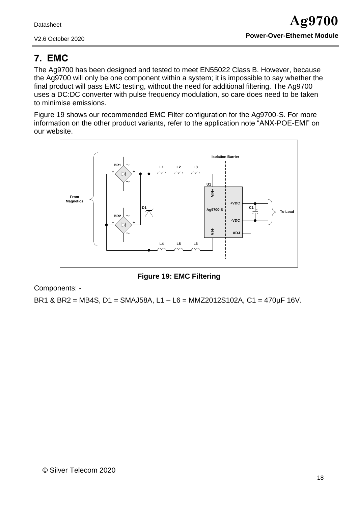# <span id="page-17-0"></span>**7. EMC**

The Ag9700 has been designed and tested to meet EN55022 Class B. However, because the Ag9700 will only be one component within a system; it is impossible to say whether the final product will pass EMC testing, without the need for additional filtering. The Ag9700 uses a DC:DC converter with pulse frequency modulation, so care does need to be taken to minimise emissions.

Figure 19 shows our recommended EMC Filter configuration for the Ag9700-S. For more information on the other product variants, refer to the application note "ANX-POE-EMI" on our website.



**Figure 19: EMC Filtering**

<span id="page-17-1"></span>Components: -

BR1 & BR2 = MB4S, D1 = SMAJ58A, L1 – L6 = MMZ2012S102A, C1 = 470µF 16V.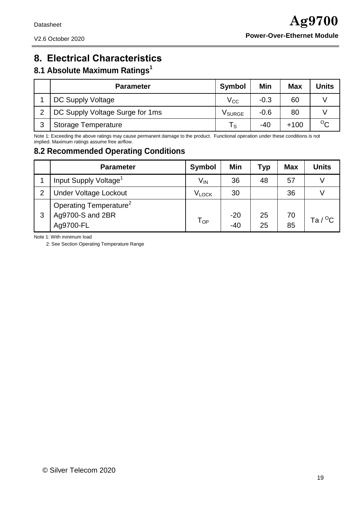# <span id="page-18-0"></span>**8. Electrical Characteristics**

#### <span id="page-18-1"></span>**8.1 Absolute Maximum Ratings 1**

|   | <b>Parameter</b>                | <b>Symbol</b>           | Min    | <b>Max</b> | Units   |
|---|---------------------------------|-------------------------|--------|------------|---------|
|   | DC Supply Voltage               | $\rm V_{CC}$            | $-0.3$ | 60         |         |
| っ | DC Supply Voltage Surge for 1ms | <b>V</b> SURGE          | $-0.6$ | 80         |         |
| 3 | <b>Storage Temperature</b>      | $\mathsf{T}_\mathsf{S}$ | $-40$  | +100       | $\circ$ |

Note 1: Exceeding the above ratings may cause permanent damage to the product. Functional operation under these conditions is not implied. Maximum ratings assume free airflow.

#### <span id="page-18-2"></span>**8.2 Recommended Operating Conditions**

|                | <b>Parameter</b>                   | Symbol            | Min   | <b>Typ</b> | <b>Max</b> | <b>Units</b>      |
|----------------|------------------------------------|-------------------|-------|------------|------------|-------------------|
|                | Input Supply Voltage <sup>1</sup>  | V <sub>IN</sub>   | 36    | 48         | 57         |                   |
| $\overline{2}$ | <b>Under Voltage Lockout</b>       | V <sub>LOCK</sub> | 30    |            | 36         |                   |
|                | Operating Temperature <sup>2</sup> |                   |       |            |            |                   |
| 3              | Ag9700-S and 2BR                   | $T_{OP}$          | $-20$ | 25         | 70         | Ta / $^{\circ}$ C |
|                | Ag9700-FL                          |                   | $-40$ | 25         | 85         |                   |

Note 1: With minimum load

2: See Section [Operating Temperature Range](#page-12-1)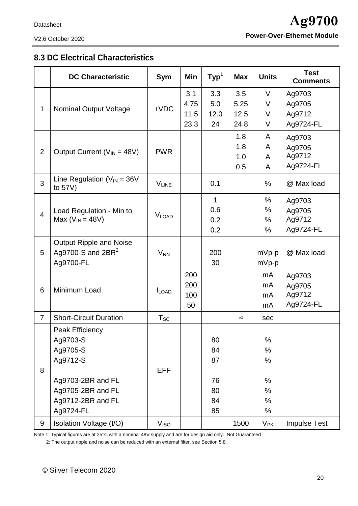### <span id="page-19-0"></span>**8.3 DC Electrical Characteristics**

|                | <b>DC Characteristic</b>                       | Sym              | Min  | Typ <sup>1</sup> | <b>Max</b> | <b>Units</b> | <b>Test</b><br><b>Comments</b> |
|----------------|------------------------------------------------|------------------|------|------------------|------------|--------------|--------------------------------|
|                |                                                |                  | 3.1  | 3.3              | 3.5        | $\vee$       | Ag9703                         |
|                |                                                | $+VDC$           | 4.75 | 5.0              | 5.25       | V            | Ag9705                         |
| 1              | <b>Nominal Output Voltage</b>                  |                  | 11.5 | 12.0             | 12.5       | V            | Ag9712                         |
|                |                                                |                  | 23.3 | 24               | 24.8       | V            | Ag9724-FL                      |
|                |                                                |                  |      |                  | 1.8        | A            | Ag9703                         |
|                |                                                |                  |      |                  | 1.8        | A            | Ag9705                         |
| $\overline{2}$ | Output Current ( $V_{IN}$ = 48V)               | <b>PWR</b>       |      |                  | 1.0        | A            | Ag9712                         |
|                |                                                |                  |      |                  | 0.5        | $\mathsf{A}$ | Ag9724-FL                      |
| 3              | Line Regulation ( $V_{IN}$ = 36V<br>to $57V$ ) | <b>VLINE</b>     |      | 0.1              |            | $\%$         | @ Max load                     |
|                |                                                |                  |      | 1                |            | %            | Ag9703                         |
| $\overline{4}$ | Load Regulation - Min to                       | <b>VLOAD</b>     |      | 0.6              |            | %            | Ag9705                         |
|                | Max ( $V_{IN}$ = 48V)                          |                  |      | 0.2              |            | %            | Ag9712                         |
|                |                                                |                  |      | 0.2              |            | $\%$         | Ag9724-FL                      |
|                | <b>Output Ripple and Noise</b>                 |                  |      |                  |            |              |                                |
| 5              | Ag9700-S and $2BR2$                            | $V_{RN}$         |      | 200              |            | $mVp-p$      | @ Max load                     |
|                | Ag9700-FL                                      |                  |      | 30               |            | $mVp-p$      |                                |
|                |                                                |                  | 200  |                  |            | mA           | Ag9703                         |
|                | Minimum Load                                   | $I_{LOAD}$       | 200  |                  |            | mA           | Ag9705                         |
| 6              |                                                |                  | 100  |                  |            | mA           | Ag9712                         |
|                |                                                |                  | 50   |                  |            | mA           | Ag9724-FL                      |
| $\overline{7}$ | <b>Short-Circuit Duration</b>                  | $T_{SC}$         |      |                  | $\infty$   | sec          |                                |
|                | Peak Efficiency                                |                  |      |                  |            |              |                                |
|                | Ag9703-S                                       |                  |      | 80               |            | %            |                                |
|                | Ag9705-S                                       |                  |      | 84               |            | %            |                                |
|                | Ag9712-S                                       |                  |      | 87               |            | $\%$         |                                |
| 8              |                                                | <b>EFF</b>       |      |                  |            |              |                                |
|                | Ag9703-2BR and FL                              |                  |      | 76               |            | %            |                                |
|                | Ag9705-2BR and FL                              |                  |      | 80               |            | %            |                                |
|                | Ag9712-2BR and FL                              |                  |      | 84               |            | %            |                                |
|                | Ag9724-FL                                      |                  |      | 85               |            | %            |                                |
| 9              | Isolation Voltage (I/O)                        | V <sub>ISO</sub> |      |                  | 1500       | $V_{\sf PK}$ | <b>Impulse Test</b>            |

Note 1: Typical figures are at 25°C with a nominal 48V supply and are for design aid only. Not Guaranteed

2: The output ripple and noise can be reduced with an external filter, see Section 5.8.